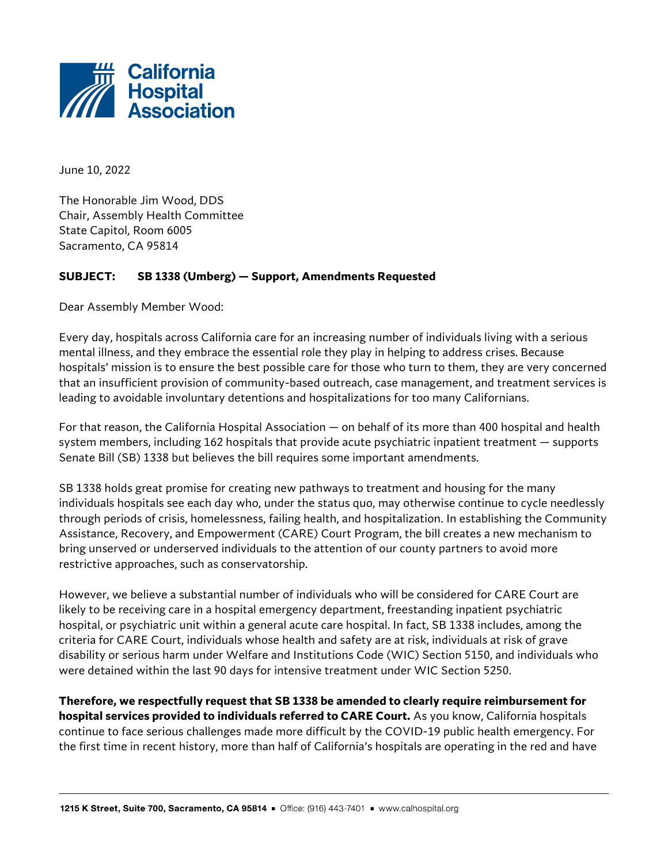

June 10, 2022

The Honorable Jim Wood, DDS Chair, Assembly Health Committee State Capitol, Room 6005 Sacramento, CA 95814

## **SUBJECT: SB 1338 (Umberg) — Support, Amendments Requested**

Dear Assembly Member Wood:

Every day, hospitals across California care for an increasing number of individuals living with a serious mental illness, and they embrace the essential role they play in helping to address crises. Because hospitals' mission is to ensure the best possible care for those who turn to them, they are very concerned that an insufficient provision of community-based outreach, case management, and treatment services is leading to avoidable involuntary detentions and hospitalizations for too many Californians.

For that reason, the California Hospital Association — on behalf of its more than 400 hospital and health system members, including 162 hospitals that provide acute psychiatric inpatient treatment — supports Senate Bill (SB) 1338 but believes the bill requires some important amendments.

SB 1338 holds great promise for creating new pathways to treatment and housing for the many individuals hospitals see each day who, under the status quo, may otherwise continue to cycle needlessly through periods of crisis, homelessness, failing health, and hospitalization. In establishing the Community Assistance, Recovery, and Empowerment (CARE) Court Program, the bill creates a new mechanism to bring unserved or underserved individuals to the attention of our county partners to avoid more restrictive approaches, such as conservatorship.

However, we believe a substantial number of individuals who will be considered for CARE Court are likely to be receiving care in a hospital emergency department, freestanding inpatient psychiatric hospital, or psychiatric unit within a general acute care hospital. In fact, SB 1338 includes, among the criteria for CARE Court, individuals whose health and safety are at risk, individuals at risk of grave disability or serious harm under Welfare and Institutions Code (WIC) Section 5150, and individuals who were detained within the last 90 days for intensive treatment under WIC Section 5250.

**Therefore, we respectfully request that SB 1338 be amended to clearly require reimbursement for hospital services provided to individuals referred to CARE Court.** As you know, California hospitals continue to face serious challenges made more difficult by the COVID-19 public health emergency. For the first time in recent history, more than half of California's hospitals are operating in the red and have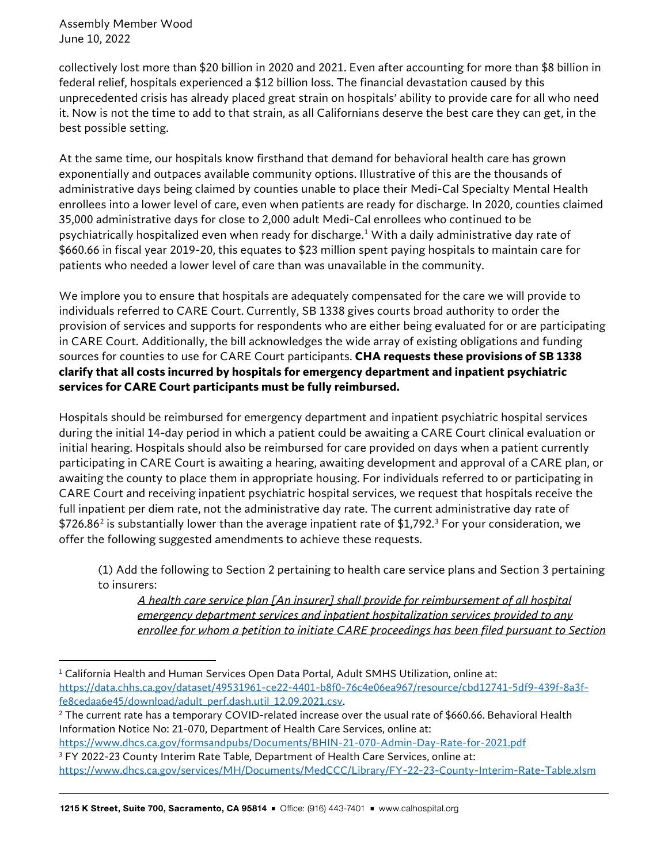Assembly Member Wood June 10, 2022

collectively lost more than \$20 billion in 2020 and 2021. Even after accounting for more than \$8 billion in federal relief, hospitals experienced a \$12 billion loss. The financial devastation caused by this unprecedented crisis has already placed great strain on hospitals' ability to provide care for all who need it. Now is not the time to add to that strain, as all Californians deserve the best care they can get, in the best possible setting.

At the same time, our hospitals know firsthand that demand for behavioral health care has grown exponentially and outpaces available community options. Illustrative of this are the thousands of administrative days being claimed by counties unable to place their Medi-Cal Specialty Mental Health enrollees into a lower level of care, even when patients are ready for discharge. In 2020, counties claimed 35,000 administrative days for close to 2,000 adult Medi-Cal enrollees who continued to be psychiatrically hospitalized even when ready for discharge.[1](#page-1-0) With a daily administrative day rate of \$660.66 in fiscal year 2019-20, this equates to \$23 million spent paying hospitals to maintain care for patients who needed a lower level of care than was unavailable in the community.

We implore you to ensure that hospitals are adequately compensated for the care we will provide to individuals referred to CARE Court. Currently, SB 1338 gives courts broad authority to order the provision of services and supports for respondents who are either being evaluated for or are participating in CARE Court. Additionally, the bill acknowledges the wide array of existing obligations and funding sources for counties to use for CARE Court participants. **CHA requests these provisions of SB 1338 clarify that all costs incurred by hospitals for emergency department and inpatient psychiatric services for CARE Court participants must be fully reimbursed.** 

Hospitals should be reimbursed for emergency department and inpatient psychiatric hospital services during the initial 14-day period in which a patient could be awaiting a CARE Court clinical evaluation or initial hearing. Hospitals should also be reimbursed for care provided on days when a patient currently participating in CARE Court is awaiting a hearing, awaiting development and approval of a CARE plan, or awaiting the county to place them in appropriate housing. For individuals referred to or participating in CARE Court and receiving inpatient psychiatric hospital services, we request that hospitals receive the full inpatient per diem rate, not the administrative day rate. The current administrative day rate of  $$726.86<sup>2</sup>$  $$726.86<sup>2</sup>$  $$726.86<sup>2</sup>$  is substantially lower than the average inpatient rate of \$1,792.<sup>[3](#page-1-2)</sup> For your consideration, we offer the following suggested amendments to achieve these requests.

(1) Add the following to Section 2 pertaining to health care service plans and Section 3 pertaining to insurers:

*A health care service plan [An insurer] shall provide for reimbursement of all hospital emergency department services and inpatient hospitalization services provided to any enrollee for whom a petition to initiate CARE proceedings has been filed pursuant to Section* 

<span id="page-1-0"></span><sup>&</sup>lt;sup>1</sup> California Health and Human Services Open Data Portal, Adult SMHS Utilization, online at: [https://data.chhs.ca.gov/dataset/49531961-ce22-4401-b8f0-76c4e06ea967/resource/cbd12741-5df9-439f-8a3f](https://data.chhs.ca.gov/dataset/49531961-ce22-4401-b8f0-76c4e06ea967/resource/cbd12741-5df9-439f-8a3f-fe8cedaa6e45/download/adult_perf.dash.util_12.09.2021.csv)[fe8cedaa6e45/download/adult\\_perf.dash.util\\_12.09.2021.csv.](https://data.chhs.ca.gov/dataset/49531961-ce22-4401-b8f0-76c4e06ea967/resource/cbd12741-5df9-439f-8a3f-fe8cedaa6e45/download/adult_perf.dash.util_12.09.2021.csv)<br><sup>2</sup> The current rate has a temporary COVID-related increase over the usual rate of \$660.66. Behavioral Health

<span id="page-1-1"></span>Information Notice No: 21-070, Department of Health Care Services, online at:

<span id="page-1-2"></span><https://www.dhcs.ca.gov/formsandpubs/Documents/BHIN-21-070-Admin-Day-Rate-for-2021.pdf> <sup>3</sup> FY 2022-23 County Interim Rate Table, Department of Health Care Services, online at:

<https://www.dhcs.ca.gov/services/MH/Documents/MedCCC/Library/FY-22-23-County-Interim-Rate-Table.xlsm>